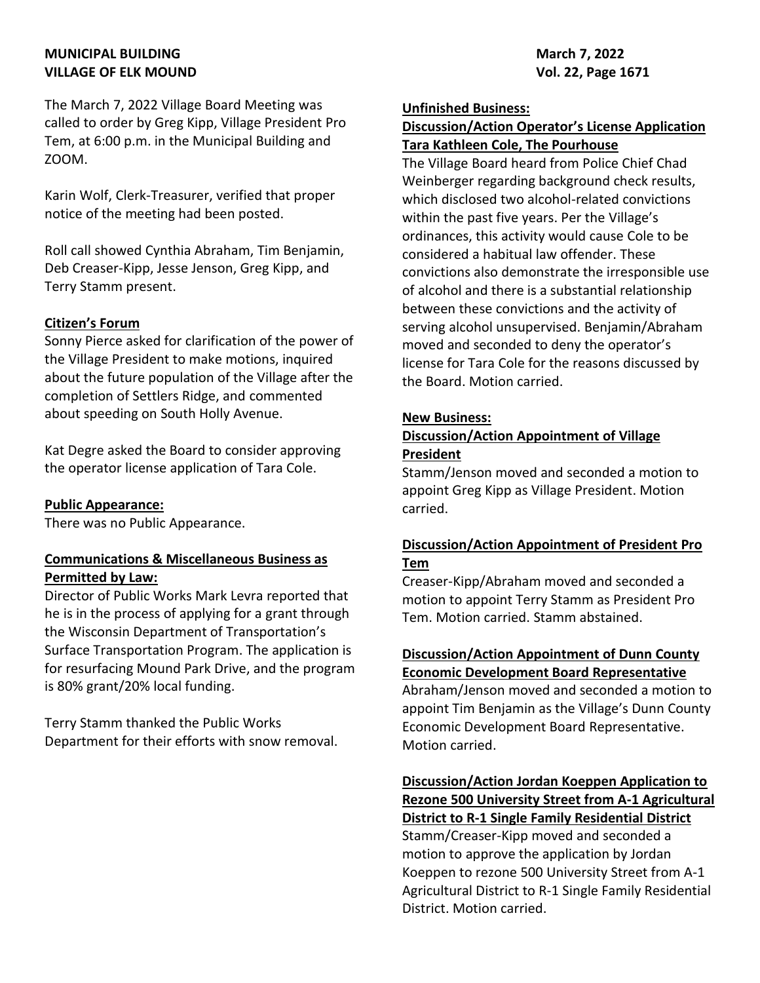# **MUNICIPAL BUILDING March 7, 2022** VILLAGE OF ELK MOUND **VILLAGE OF ELK MOUND**

The March 7, 2022 Village Board Meeting was called to order by Greg Kipp, Village President Pro Tem, at 6:00 p.m. in the Municipal Building and ZOOM.

Karin Wolf, Clerk-Treasurer, verified that proper notice of the meeting had been posted.

Roll call showed Cynthia Abraham, Tim Benjamin, Deb Creaser-Kipp, Jesse Jenson, Greg Kipp, and Terry Stamm present.

### **Citizen's Forum**

Sonny Pierce asked for clarification of the power of the Village President to make motions, inquired about the future population of the Village after the completion of Settlers Ridge, and commented about speeding on South Holly Avenue.

Kat Degre asked the Board to consider approving the operator license application of Tara Cole.

### **Public Appearance:**

There was no Public Appearance.

## **Communications & Miscellaneous Business as Permitted by Law:**

Director of Public Works Mark Levra reported that he is in the process of applying for a grant through the Wisconsin Department of Transportation's Surface Transportation Program. The application is for resurfacing Mound Park Drive, and the program is 80% grant/20% local funding.

Terry Stamm thanked the Public Works Department for their efforts with snow removal.

#### **Unfinished Business:**

# **Discussion/Action Operator's License Application Tara Kathleen Cole, The Pourhouse**

The Village Board heard from Police Chief Chad Weinberger regarding background check results, which disclosed two alcohol-related convictions within the past five years. Per the Village's ordinances, this activity would cause Cole to be considered a habitual law offender. These convictions also demonstrate the irresponsible use of alcohol and there is a substantial relationship between these convictions and the activity of serving alcohol unsupervised. Benjamin/Abraham moved and seconded to deny the operator's license for Tara Cole for the reasons discussed by the Board. Motion carried.

#### **New Business:**

## **Discussion/Action Appointment of Village President**

Stamm/Jenson moved and seconded a motion to appoint Greg Kipp as Village President. Motion carried.

# **Discussion/Action Appointment of President Pro Tem**

Creaser-Kipp/Abraham moved and seconded a motion to appoint Terry Stamm as President Pro Tem. Motion carried. Stamm abstained.

## **Discussion/Action Appointment of Dunn County Economic Development Board Representative**

Abraham/Jenson moved and seconded a motion to appoint Tim Benjamin as the Village's Dunn County Economic Development Board Representative. Motion carried.

**Discussion/Action Jordan Koeppen Application to Rezone 500 University Street from A-1 Agricultural District to R-1 Single Family Residential District** Stamm/Creaser-Kipp moved and seconded a

motion to approve the application by Jordan Koeppen to rezone 500 University Street from A-1 Agricultural District to R-1 Single Family Residential District. Motion carried.